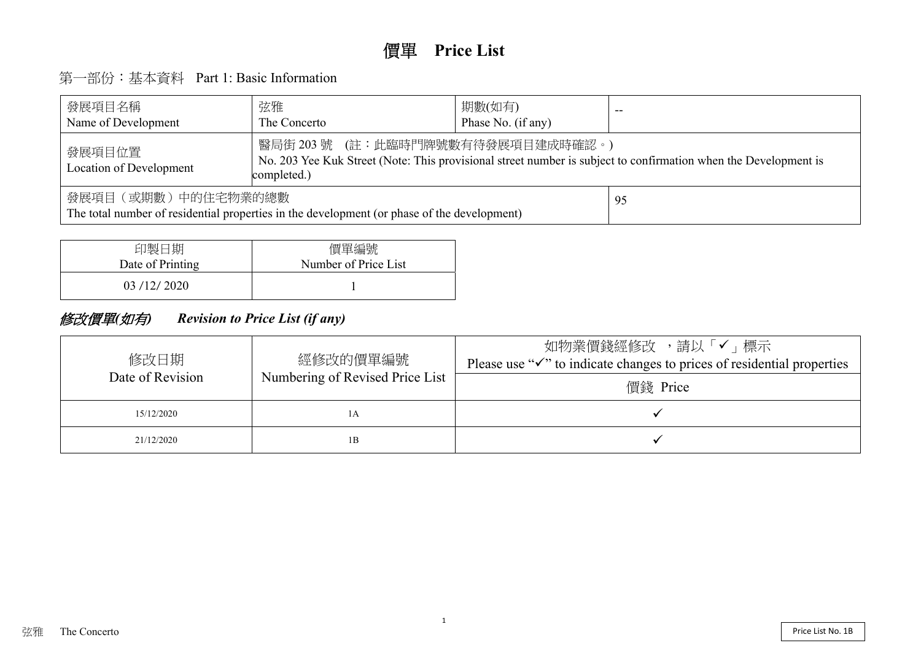# 價單 **Price List**

# 第一部份:基本資料 Part 1: Basic Information

| 發展項目名稱<br>Name of Development                                                                                           | 弦雅<br>The Concerto                                                                                                                          | 期數(如有)<br>Phase No. (if any) |  |  |  |  |  |  |  |
|-------------------------------------------------------------------------------------------------------------------------|---------------------------------------------------------------------------------------------------------------------------------------------|------------------------------|--|--|--|--|--|--|--|
| 發展項目位置<br>Location of Development                                                                                       | 醫局街 203 號 (註:此臨時門牌號數有待發展項目建成時確認。)<br>No. 203 Yee Kuk Street (Note: This provisional street number is subject to confirmation<br>completed.) |                              |  |  |  |  |  |  |  |
| 發展項目(或期數)中的住宅物業的總數<br>95<br>The total number of residential properties in the development (or phase of the development) |                                                                                                                                             |                              |  |  |  |  |  |  |  |



# 以「√」標示 ices of residential properties

| 印製日期             | 價單編號                 |
|------------------|----------------------|
| Date of Printing | Number of Price List |
| 03/12/2020       |                      |

# 修改價單*(*如有*) Revision to Price List (if any)*

| 修改日期             | 經修改的價單編號                        | 請<br>如物業價錢經修改<br>Please use " $\checkmark$ " to indicate changes to pri |
|------------------|---------------------------------|-------------------------------------------------------------------------|
| Date of Revision | Numbering of Revised Price List | 價錢 Price                                                                |
| 15/12/2020       | ΙA                              |                                                                         |
| 21/12/2020       | 1B                              |                                                                         |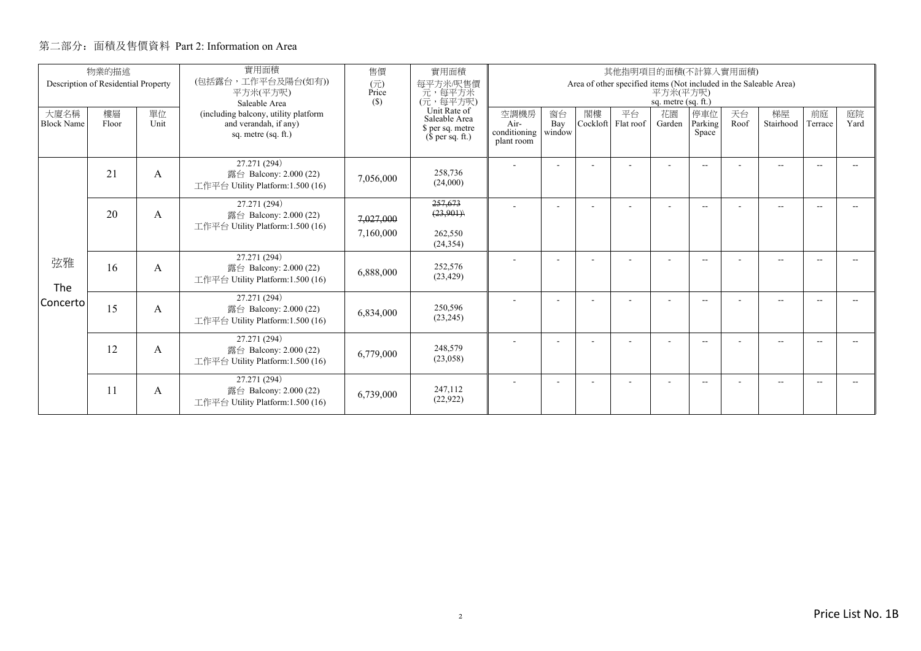|                           | 物業的描述                               |            | 實用面積                                                                                 | 售價                     | 實用面積<br>其他指明項目的面積(不計算入實用面積)                                           |                                            |                     |                |                                                                   |                                   |                          |            |                          |        |            |
|---------------------------|-------------------------------------|------------|--------------------------------------------------------------------------------------|------------------------|-----------------------------------------------------------------------|--------------------------------------------|---------------------|----------------|-------------------------------------------------------------------|-----------------------------------|--------------------------|------------|--------------------------|--------|------------|
|                           | Description of Residential Property |            | (包括露台,工作平台及陽台(如有))<br>平方米(平方呎)<br>Saleable Area                                      | (元)<br>Price<br>(S)    | 每平方米/呎售價<br>元,每平方米<br>(元,每平方呎)                                        |                                            |                     |                | Area of other specified items (Not included in the Saleable Area) | 平方米(平方呎)<br>sq. metre $(sq, ft.)$ |                          |            |                          |        |            |
| 大廈名稱<br><b>Block Name</b> | 樓層<br>Floor                         | 單位<br>Unit | (including balcony, utility platform<br>and verandah, if any)<br>sq. metre (sq. ft.) |                        | Unit Rate of<br>Saleable Area<br>\$ per sq. metre<br>$$$ per sq. ft.) | 空調機房<br>Air-<br>conditioning<br>plant room | 窗台<br>Bay<br>window | 閣樓<br>Cockloft | 平台<br>Flat roof                                                   | 花園<br>Garden                      | 停車位<br>Parking<br>Space  | 天台<br>Roof | 梯屋<br>Stairhood Terrace  | 前庭     | 庭院<br>Yard |
|                           | 21                                  | A          | 27.271 (294)<br>露台 Balcony: 2.000 (22)<br>工作平台 Utility Platform:1.500 (16)           | 7,056,000              | 258,736<br>(24,000)                                                   |                                            |                     |                |                                                                   |                                   | $\overline{\phantom{a}}$ |            | $\overline{\phantom{a}}$ |        |            |
|                           | 20                                  | A          | 27.271 (294)<br>露台 Balcony: 2.000 (22)<br>工作平台 Utility Platform:1.500 (16)           | 7,027,000<br>7,160,000 | 257,673<br>(23,901)<br>262,550<br>(24, 354)                           |                                            |                     |                |                                                                   |                                   | $\overline{\phantom{a}}$ |            | $\overline{\phantom{a}}$ |        | $-$        |
| 弦雅<br>The                 | 16                                  | A          | 27.271 (294)<br>露台 Balcony: 2.000 (22)<br>工作平台 Utility Platform:1.500 (16)           | 6.888,000              | 252,576<br>(23, 429)                                                  |                                            |                     |                |                                                                   |                                   | $-$                      |            | $\overline{\phantom{a}}$ |        |            |
| Concerto                  | 15                                  | A          | 27.271 (294)<br>露台 Balcony: 2.000 (22)<br>工作平台 Utility Platform:1.500 (16)           | 6,834,000              | 250,596<br>(23, 245)                                                  |                                            |                     |                |                                                                   |                                   | $\overline{\phantom{a}}$ |            | $\overline{\phantom{a}}$ | $\sim$ |            |
|                           | 12                                  | A          | 27.271 (294)<br>露台 Balcony: 2.000 (22)<br>工作平台 Utility Platform:1.500 (16)           | 6,779,000              | 248,579<br>(23,058)                                                   |                                            |                     |                |                                                                   |                                   | $\overline{a}$           |            | --                       |        |            |
|                           | 11                                  | A          | 27.271 (294)<br>露台 Balcony: 2.000 (22)<br>工作平台 Utility Platform:1.500 (16)           | 6,739,000              | 247.112<br>(22, 922)                                                  |                                            |                     |                |                                                                   |                                   | $-$                      |            | $\overline{\phantom{a}}$ |        |            |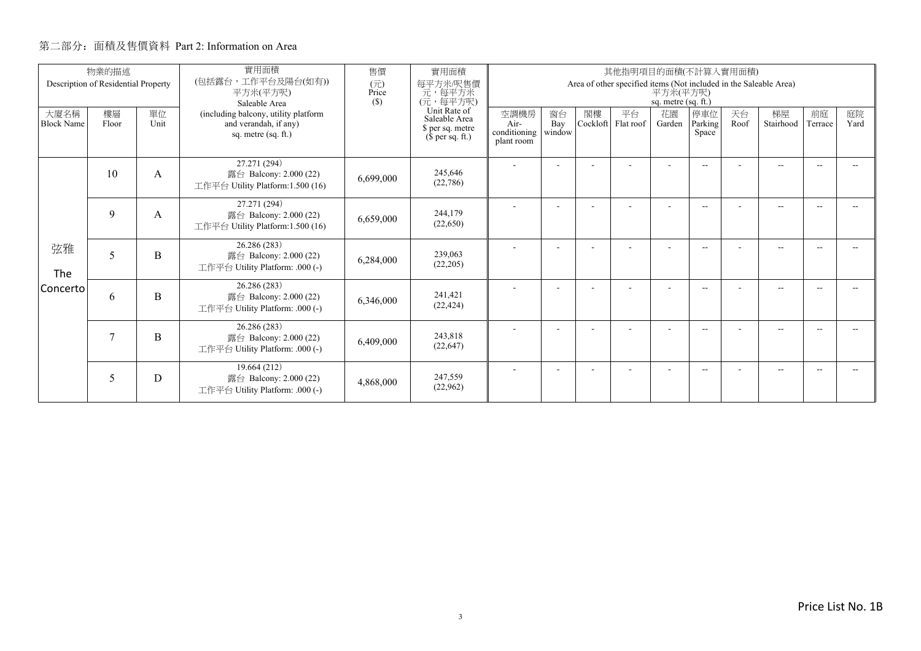|                           | 物業的描述                               |                | 實用面積                                                                                 | 售價                     | 實用面積                                                                  |                                                                                                      |                     |                | 其他指明項目的面積(不計算入實用面積) |              |                          |            |                          |               |            |
|---------------------------|-------------------------------------|----------------|--------------------------------------------------------------------------------------|------------------------|-----------------------------------------------------------------------|------------------------------------------------------------------------------------------------------|---------------------|----------------|---------------------|--------------|--------------------------|------------|--------------------------|---------------|------------|
|                           | Description of Residential Property |                | (包括露台,工作平台及陽台(如有))<br>平方米(平方呎)<br>Saleable Area                                      | (元)<br>Price<br>$(\$)$ | 每平方米/呎售價<br>元, 每平方米<br>(元, 每平方呎)                                      | Area of other specified items (Not included in the Saleable Area)<br>平方米(平方呎)<br>sq. metre (sq. ft.) |                     |                |                     |              |                          |            |                          |               |            |
| 大廈名稱<br><b>Block Name</b> | 樓層<br>Floor                         | 單位<br>Unit     | (including balcony, utility platform<br>and verandah, if any)<br>sq. metre (sq. ft.) |                        | Unit Rate of<br>Saleable Area<br>\$ per sq. metre<br>$$$ per sq. ft.) | 空調機房<br>Air-<br>conditioning<br>plant room                                                           | 窗台<br>Bay<br>window | 閣樓<br>Cockloft | 平台<br>Flat roof     | 花園<br>Garden | 停車位<br>Parking<br>Space  | 天台<br>Roof | 梯屋<br>Stairhood          | 前庭<br>Terrace | 庭院<br>Yard |
|                           | 10                                  | A              | 27.271 (294)<br>露台 Balcony: 2.000 (22)<br>工作平台 Utility Platform:1.500 (16)           | 6,699,000              | 245,646<br>(22, 786)                                                  |                                                                                                      | ٠                   |                |                     | ۰            | $\overline{\phantom{a}}$ |            | $\overline{\phantom{a}}$ | $\sim$        |            |
|                           | 9                                   | A              | 27.271 (294)<br>露台 Balcony: 2.000 (22)<br>工作平台 Utility Platform:1.500 (16)           | 6,659,000              | 244,179<br>(22,650)                                                   |                                                                                                      |                     |                |                     |              | $- -$                    |            | $\overline{\phantom{a}}$ |               |            |
| 弦雅<br>The                 | 5                                   | B              | 26.286 (283)<br>露台 Balcony: 2.000 (22)<br>工作平台 Utility Platform: .000 (-)            | 6,284,000              | 239,063<br>(22,205)                                                   |                                                                                                      | ٠                   |                |                     | ۰            | $\overline{\phantom{a}}$ |            | $\overline{\phantom{a}}$ | $\sim$        |            |
| Concerto                  | 6                                   | B              | 26.286 (283)<br>露台 Balcony: 2.000 (22)<br>工作平台 Utility Platform: .000 (-)            | 6,346,000              | 241,421<br>(22, 424)                                                  |                                                                                                      |                     |                |                     |              | $\overline{\phantom{a}}$ |            | $\overline{a}$           |               |            |
|                           | $\overline{7}$                      | $\overline{B}$ | 26.286 (283)<br>露台 Balcony: 2.000 (22)<br>工作平台 Utility Platform: .000 (-)            | 6,409,000              | 243,818<br>(22, 647)                                                  |                                                                                                      | ٠                   |                |                     | ٠            | $\overline{\phantom{a}}$ |            | $\overline{\phantom{a}}$ |               |            |
|                           | 5                                   | D              | 19.664 (212)<br>露台 Balcony: 2.000 (22)<br>工作平台 Utility Platform: .000 (-)            | 4,868,000              | 247,559<br>(22,962)                                                   |                                                                                                      |                     |                |                     |              | $\overline{\phantom{a}}$ |            | $\overline{a}$           |               |            |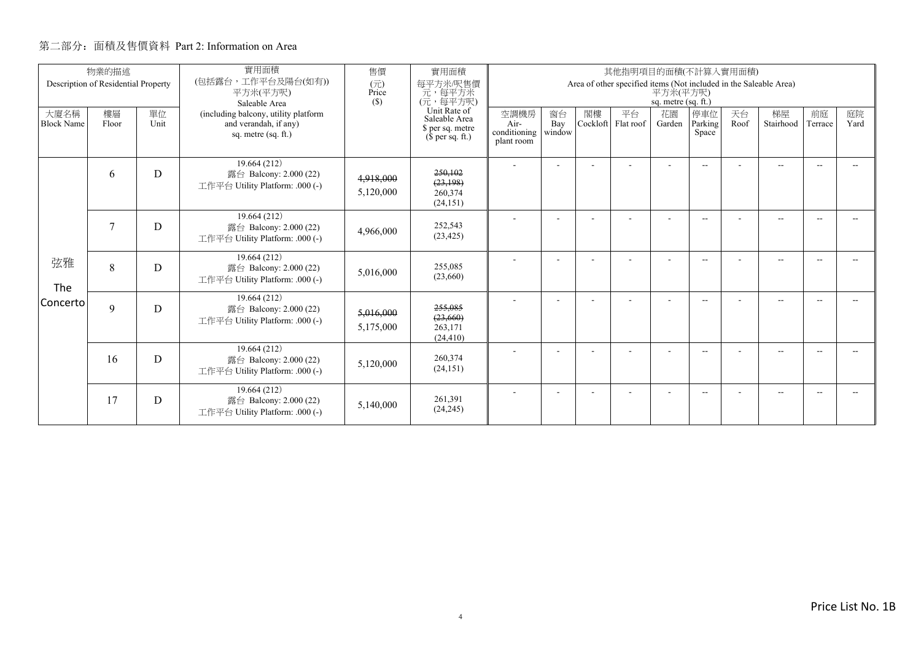|                           | 物業的描述                               |            | 實用面積                                                                                 | 售價                     | 實用面積                                                                                                    |                                                                                                        |                     |                | 其他指明項目的面積(不計算入實用面積) |                          |                          |            |                          |               |            |
|---------------------------|-------------------------------------|------------|--------------------------------------------------------------------------------------|------------------------|---------------------------------------------------------------------------------------------------------|--------------------------------------------------------------------------------------------------------|---------------------|----------------|---------------------|--------------------------|--------------------------|------------|--------------------------|---------------|------------|
|                           | Description of Residential Property |            | (包括露台,工作平台及陽台(如有))<br>平方米(平方呎)<br>Saleable Area                                      | (元)<br>Price<br>(S)    | 每平方米/呎售價<br>元,每平方米<br>(元,每平方呎)<br>Unit Rate of<br>Saleable Area<br>\$ per sq. metre<br>$$$ per sq. ft.) | Area of other specified items (Not included in the Saleable Area)<br>平方米(平方呎)<br>sq. metre $(sq, ft.)$ |                     |                |                     |                          |                          |            |                          |               |            |
| 大廈名稱<br><b>Block Name</b> | 樓層<br>Floor                         | 單位<br>Unit | (including balcony, utility platform<br>and verandah, if any)<br>sq. metre (sq. ft.) |                        |                                                                                                         | 空調機房<br>Air-<br>conditioning<br>plant room                                                             | 窗台<br>Bay<br>window | 閣樓<br>Cockloft | 平台<br>Flat roof     | 花園<br>Garden             | 停車位<br>Parking<br>Space  | 天台<br>Roof | 梯屋<br>Stairhood          | 前庭<br>Terrace | 庭院<br>Yard |
|                           | 6                                   | D          | 19.664 (212)<br>露台 Balcony: 2.000 (22)<br>工作平台 Utility Platform: .000 (-)            | 4,918,000<br>5,120,000 | 250,102<br>(23, 198)<br>260,374<br>(24, 151)                                                            |                                                                                                        | ٠                   |                |                     |                          | $\overline{\phantom{a}}$ |            | $\overline{\phantom{a}}$ | $\sim$        |            |
|                           | $\overline{7}$                      | D          | 19.664 (212)<br>露台 Balcony: 2.000 (22)<br>工作平台 Utility Platform: .000 (-)            | 4,966,000              | 252,543<br>(23, 425)                                                                                    |                                                                                                        |                     |                |                     |                          | $\overline{\phantom{a}}$ |            | $\overline{\phantom{a}}$ |               |            |
| 弦雅<br>The                 | 8                                   | D          | 19.664 (212)<br>露台 Balcony: 2.000 (22)<br>工作平台 Utility Platform: .000 (-)            | 5,016,000              | 255,085<br>(23,660)                                                                                     |                                                                                                        |                     |                |                     | $\overline{\phantom{a}}$ | $\overline{\phantom{a}}$ |            | $\overline{\phantom{a}}$ |               |            |
| Concerto                  | $\mathbf Q$                         | D          | 19.664 (212)<br>露台 Balcony: 2.000 (22)<br>工作平台 Utility Platform: .000 (-)            | 5,016,000<br>5,175,000 | 255,085<br>(23, 660)<br>263,171<br>(24, 410)                                                            |                                                                                                        |                     |                |                     |                          | $\overline{\phantom{a}}$ |            | $\overline{\phantom{a}}$ | $\sim$        |            |
|                           | 16                                  | D          | 19.664 (212)<br>露台 Balcony: 2.000 (22)<br>工作平台 Utility Platform: .000 (-)            | 5,120,000              | 260,374<br>(24, 151)                                                                                    |                                                                                                        |                     |                |                     | $\overline{\phantom{a}}$ | $\overline{\phantom{a}}$ |            | $\overline{\phantom{a}}$ |               |            |
|                           | 17                                  | D          | 19.664 (212)<br>露台 Balcony: 2.000 (22)<br>工作平台 Utility Platform: .000 (-)            | 5,140,000              | 261.391<br>(24, 245)                                                                                    |                                                                                                        |                     |                |                     | ÷                        | $\overline{\phantom{a}}$ |            | $\overline{\phantom{a}}$ | $\sim$        |            |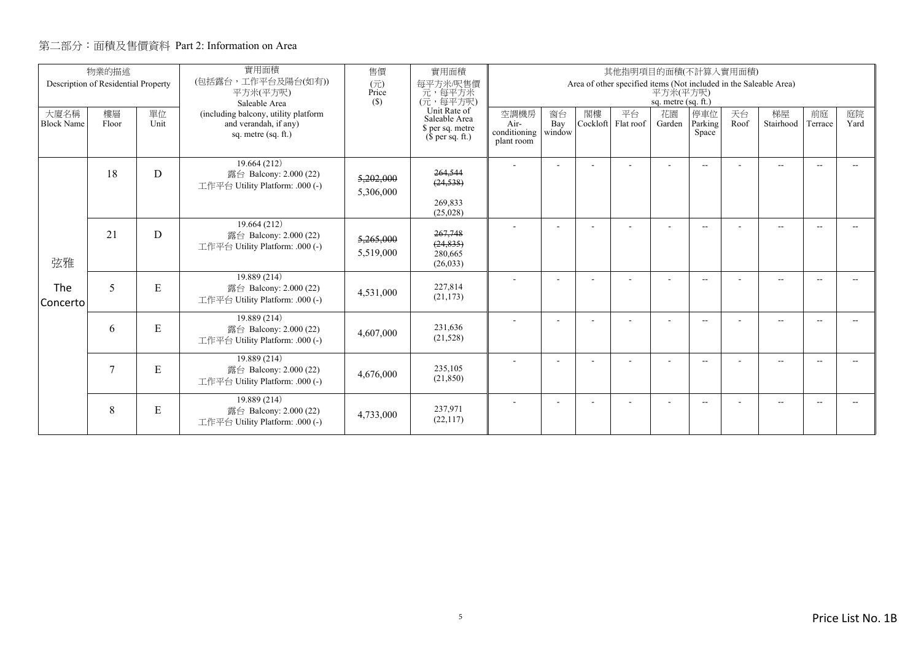|                           | 物業的描述                               |            | 實用面積                                                                                 | 售價                                                                    | 實用面積                                         | 其他指明項目的面積(不計算入實用面積)                                                                                  |                |                 |              |                         |                          |                 |                          |            |  |  |  |
|---------------------------|-------------------------------------|------------|--------------------------------------------------------------------------------------|-----------------------------------------------------------------------|----------------------------------------------|------------------------------------------------------------------------------------------------------|----------------|-----------------|--------------|-------------------------|--------------------------|-----------------|--------------------------|------------|--|--|--|
|                           | Description of Residential Property |            | (包括露台,工作平台及陽台(如有))<br>平方米(平方呎)<br>Saleable Area                                      | (元)<br>Price<br>(S)                                                   | 每平方米/呎售價<br>一元, 每平方米<br>(元, 每平方呎)            | Area of other specified items (Not included in the Saleable Area)<br>平方米(平方呎)<br>sq. metre (sq. ft.) |                |                 |              |                         |                          |                 |                          |            |  |  |  |
| 大廈名稱<br><b>Block Name</b> | 樓層<br>Floor                         | 單位<br>Unit | (including balcony, utility platform<br>and verandah, if any)<br>sq. metre (sq. ft.) | Unit Rate of<br>Saleable Area<br>\$ per sq. metre<br>$$$ per sq. ft.) | 空調機房<br>Air-<br>conditioning<br>plant room   | 窗台<br>Bay<br>window                                                                                  | 閣樓<br>Cockloft | 平台<br>Flat roof | 花園<br>Garden | 停車位<br>Parking<br>Space | 天台<br>Roof               | 梯屋<br>Stairhood | 前庭<br>Terrace            | 庭院<br>Yard |  |  |  |
| 弦雅                        | 18                                  | D          | 19.664 (212)<br>露台 Balcony: 2.000 (22)<br>工作平台 Utility Platform: .000 (-)            | 5,202,000<br>5,306,000                                                | 264,544<br>(24, 538)<br>269,833<br>(25,028)  |                                                                                                      |                |                 |              |                         | $\overline{\phantom{a}}$ |                 | $\overline{\phantom{a}}$ |            |  |  |  |
|                           | 21                                  | D          | 19.664 (212)<br>露台 Balcony: 2.000 (22)<br>工作平台 Utility Platform: .000 (-)            | 5,265,000<br>5,519,000                                                | 267,748<br>(24, 835)<br>280,665<br>(26, 033) |                                                                                                      |                |                 |              |                         | $\overline{\phantom{a}}$ |                 | $\overline{\phantom{a}}$ |            |  |  |  |
| The<br>Concerto           | 5                                   | ${\bf E}$  | 19.889 (214)<br>露台 Balcony: 2.000 (22)<br>工作平台 Utility Platform: .000 (-)            | 4,531,000                                                             | 227,814<br>(21, 173)                         |                                                                                                      |                |                 |              |                         | $\overline{\phantom{a}}$ |                 | $\overline{a}$           |            |  |  |  |
|                           | 6                                   | E          | 19.889 (214)<br>露台 Balcony: 2.000 (22)<br>工作平台 Utility Platform: .000 (-)            | 4,607,000                                                             | 231.636<br>(21,528)                          |                                                                                                      |                |                 |              | ٠                       | $\overline{\phantom{a}}$ |                 | $\overline{\phantom{a}}$ |            |  |  |  |
|                           | $\overline{7}$                      | ${\bf E}$  | 19.889 (214)<br>露台 Balcony: 2.000 (22)<br>工作平台 Utility Platform: .000 (-)            | 4,676,000                                                             | 235,105<br>(21, 850)                         |                                                                                                      |                |                 |              |                         | --                       |                 | --                       |            |  |  |  |
|                           | 8                                   | E          | 19.889 (214)<br>露台 Balcony: 2.000 (22)<br>工作平台 Utility Platform: .000 (-)            | 4,733,000                                                             | 237,971<br>(22,117)                          |                                                                                                      |                |                 |              |                         | $\overline{a}$           |                 | $\overline{a}$           | --         |  |  |  |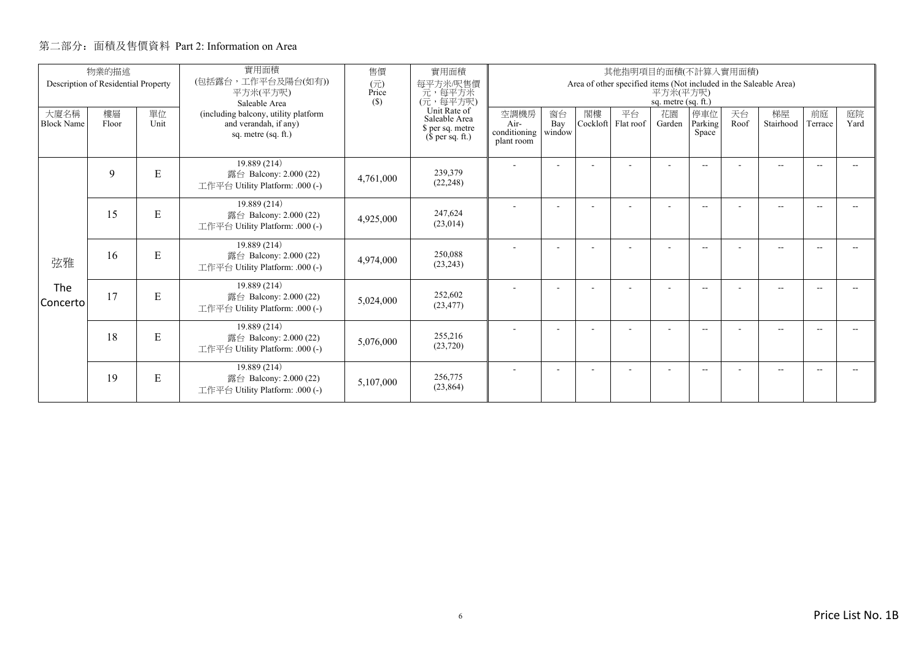|                           | 物業的描述<br>Description of Residential Property |            | 實用面積<br>(包括露台,工作平台及陽台(如有))<br>平方米(平方呎)                                                                | 售價<br>(元)<br>Price | 實用面積<br>每平方米/呎售價<br>元,每平方米                                                        |                                            |                     |                | 其他指明項目的面積(不計算入實用面積)<br>Area of other specified items (Not included in the Saleable Area) | 平方米(平方呎)                            |                          |            |                          |               |            |
|---------------------------|----------------------------------------------|------------|-------------------------------------------------------------------------------------------------------|--------------------|-----------------------------------------------------------------------------------|--------------------------------------------|---------------------|----------------|------------------------------------------------------------------------------------------|-------------------------------------|--------------------------|------------|--------------------------|---------------|------------|
| 大廈名稱<br><b>Block Name</b> | 樓層<br>Floor                                  | 單位<br>Unit | Saleable Area<br>(including balcony, utility platform<br>and verandah, if any)<br>sq. metre (sq. ft.) | (S)                | (元,每平方呎)<br>Unit Rate of<br>Saleable Area<br>\$ per sq. metre<br>$$$ per sq. ft.) | 空調機房<br>Air-<br>conditioning<br>plant room | 窗台<br>Bay<br>window | 閣樓<br>Cockloft | 平台<br>Flat roof                                                                          | sq. metre (sq. ft.)<br>花園<br>Garden | 停車位<br>Parking<br>Space  | 天台<br>Roof | 梯屋<br>Stairhood          | 前庭<br>Terrace | 庭院<br>Yard |
|                           | 9                                            | E          | 19.889 (214)<br>露台 Balcony: 2.000 (22)<br>工作平台 Utility Platform: .000 (-)                             | 4,761,000          | 239,379<br>(22, 248)                                                              |                                            | ۰                   |                |                                                                                          |                                     | $\overline{\phantom{a}}$ |            | $\overline{a}$           |               |            |
|                           | 15                                           | ${\bf E}$  | 19.889 (214)<br>露台 Balcony: 2.000 (22)<br>工作平台 Utility Platform: .000 (-)                             | 4,925,000          | 247,624<br>(23, 014)                                                              |                                            | ٠                   |                |                                                                                          | ٠                                   | $\overline{\phantom{a}}$ |            | $\overline{\phantom{a}}$ |               |            |
| 弦雅                        | 16                                           | E          | 19.889 (214)<br>露台 Balcony: 2.000 (22)<br>工作平台 Utility Platform: .000 (-)                             | 4,974,000          | 250.088<br>(23, 243)                                                              |                                            | ٠                   |                |                                                                                          |                                     | $\overline{\phantom{a}}$ |            | $\overline{\phantom{a}}$ |               |            |
| The<br>Concerto           | 17                                           | ${\bf E}$  | 19.889 (214)<br>露台 Balcony: 2.000 (22)<br>工作平台 Utility Platform: .000 (-)                             | 5,024,000          | 252,602<br>(23, 477)                                                              |                                            | ٠                   |                |                                                                                          | ٠                                   | $\overline{\phantom{a}}$ |            | $\overline{\phantom{a}}$ |               |            |
|                           | 18                                           | E          | 19.889 (214)<br>露台 Balcony: 2.000 (22)<br>工作平台 Utility Platform: .000 (-)                             | 5,076,000          | 255,216<br>(23, 720)                                                              |                                            |                     |                |                                                                                          |                                     | $- -$                    |            | $- -$                    |               |            |
|                           | 19                                           | ${\bf E}$  | 19.889 (214)<br>露台 Balcony: 2.000 (22)<br>工作平台 Utility Platform: .000 (-)                             | 5,107,000          | 256,775<br>(23, 864)                                                              |                                            | ٠                   |                |                                                                                          | ٠                                   | $\overline{\phantom{a}}$ |            | $\overline{\phantom{a}}$ | --            |            |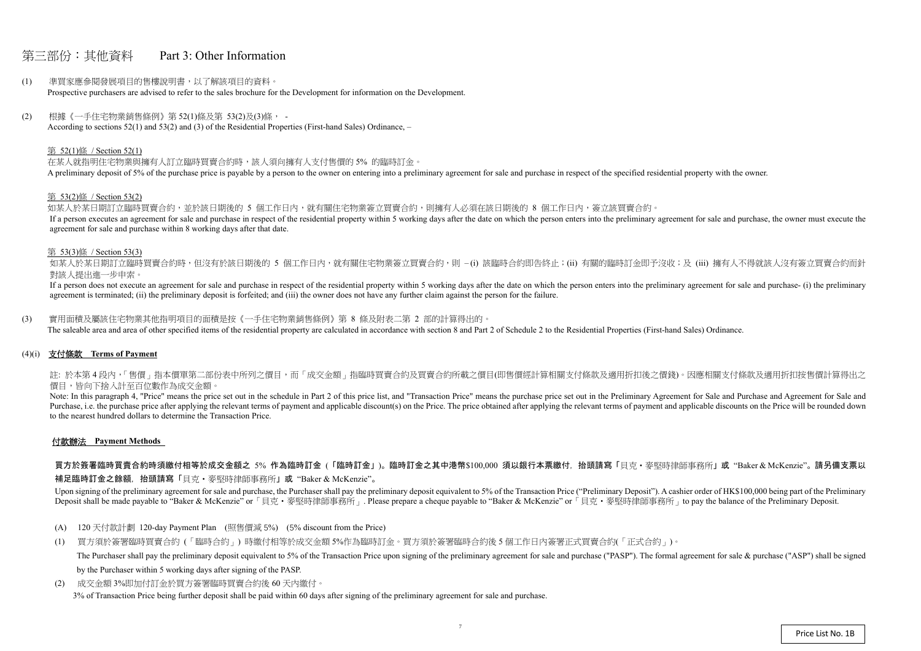### 第三部份:其他資料 Part 3: Other Information

- (1) 準買家應參閱發展項目的售樓說明書,以了解該項目的資料。 Prospective purchasers are advised to refer to the sales brochure for the Development for information on the Development.
- (2) 根據《一手住宅物業銷售條例》第 52(1)條及第 53(2)及(3)條, According to sections 52(1) and 53(2) and (3) of the Residential Properties (First-hand Sales) Ordinance, –

#### 第 52(1)條 / Section 52(1)

在某人就指明住宅物業與擁有人訂立臨時買賣合約時,該人須向擁有人支付售價的 5% 的臨時訂金。 A preliminary deposit of 5% of the purchase price is payable by a person to the owner on entering into a preliminary agreement for sale and purchase in respect of the specified residential property with the owner.

如某人於某日期訂立臨時買賣合約,並於該日期後的 5 個工作日內,就有關住宅物業簽立買賣合約,則擁有人必須在該日期後的 8 個工作日內,簽立該買賣合約。 If a person executes an agreement for sale and purchase in respect of the residential property within 5 working days after the date on which the person enters into the preliminary agreement for sale and purchase, the owner agreement for sale and purchase within 8 working days after that date.

如某人於某日期訂立臨時買賣合約時,但沒有於該日期後的 5 個工作日内,就有關住宅物業簽立買賣合約,則 –(i) 該臨時合約即告終止;(ii) 有關的臨時訂金即予沒收;及 (iii) 擁有人不得就該人沒有簽立買賣合約而針 對該人提出進一步申索。

#### 第 53(2)條 / Section 53(2)

If a person does not execute an agreement for sale and purchase in respect of the residential property within 5 working days after the date on which the person enters into the preliminary agreement for sale and purchase- ( agreement is terminated; (ii) the preliminary deposit is forfeited; and (iii) the owner does not have any further claim against the person for the failure.

註: 於本第4段内,「售價」指本價單第二部份表中所列之價目,而「成交金額」指臨時買賣合約及買賣合約所載之價目(即售價經計算相關支付條款及適用折扣後之價錢)。因應相關支付條款及適用折扣按售價計算得出之 價目,皆向下捨入計至百位數作為成交金額。

#### 第 53(3)條 / Section 53(3)

Note: In this paragraph 4, "Price" means the price set out in the schedule in Part 2 of this price list, and "Transaction Price" means the purchase price set out in the Preliminary Agreement for Sale and Purchase and Agree Purchase, i.e. the purchase price after applying the relevant terms of payment and applicable discount(s) on the Price. The price obtained after applying the relevant terms of payment and applicable discounts on the Price to the nearest hundred dollars to determine the Transaction Price.

(3) 實用面積及屬該住宅物業其他指明項目的面積是按《一手住宅物業銷售條例》第 8 條及附表二第 2 部的計算得出的。 The saleable area and area of other specified items of the residential property are calculated in accordance with section 8 and Part 2 of Schedule 2 to the Residential Properties (First-hand Sales) Ordinance.

(4)(i) 支付條款 **Terms of Payment** 

#### 付款辦法 **Payment Methods**

買方於簽署臨時買賣合約時須繳付相等於成交金額之 5% 作為臨時訂金 (「臨時訂金」)。臨時訂金之其中港幣\$100,000 須以銀行本票繳付,抬頭請寫「貝克・麥堅時律師事務所」或"Baker & McKenzie"。請另備支票以

補足臨時訂金之餘額,抬頭請寫「貝克‧麥堅時律師事務所」或 "Baker & McKenzie"。

Upon signing of the preliminary agreement for sale and purchase, the Purchaser shall pay the preliminary deposit equivalent to 5% of the Transaction Price ("Preliminary Deposit"). A cashier order of HK\$100,000 being part o Deposit shall be made payable to "Baker & McKenzie" or 「貝克·麥堅時律師事務所」. Please prepare a cheque payable to "Baker & McKenzie" or 「貝克·麥堅時律師事務所」to pay the balance of the Preliminary Deposit.

- (A) 120 天付款計劃 120-day Payment Plan (照售價減 5%) (5% discount from the Price)
- (1) 買方須於簽署臨時買賣合約 (「臨時合約」) 時繳付相等於成交金額 5%作為臨時訂金。買方須於簽署臨時合約後 <sup>5</sup> 個工作日內簽署正式買賣合約(「正式合約」)。 The Purchaser shall pay the preliminary deposit equivalent to 5% of the Transaction Price upon signing of the preliminary agreement for sale and purchase ("PASP"). The formal agreement for sale & purchase ("ASP") shall be by the Purchaser within 5 working days after signing of the PASP.
- (2) 成交金額 3%即加付訂金於買方簽署臨時買賣合約後 60 天內繳付。 3% of Transaction Price being further deposit shall be paid within 60 days after signing of the preliminary agreement for sale and purchase.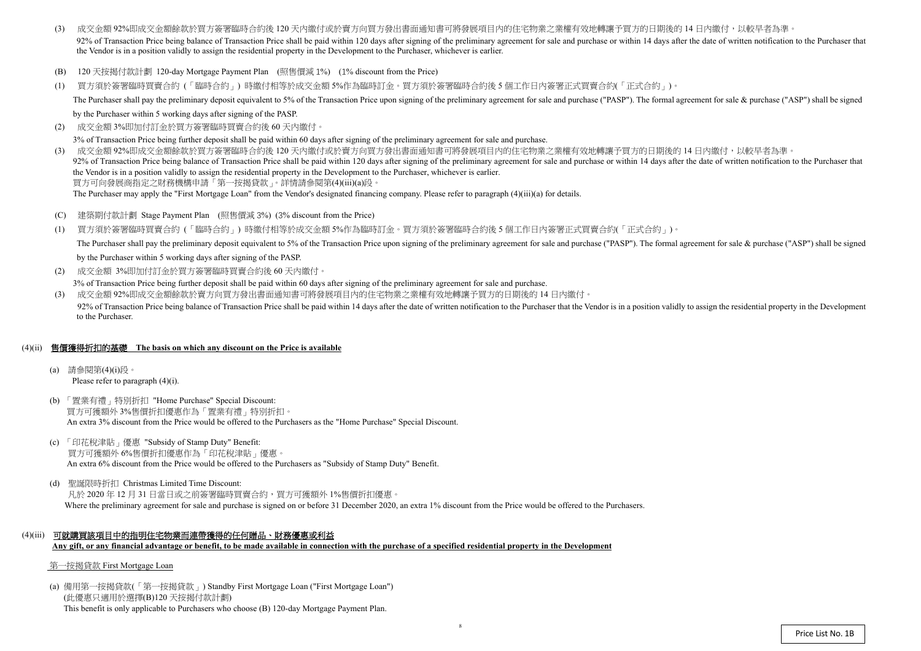- (3) 成交金額 92%即成交金額餘款於買方簽署臨時合約後 120 天內繳付或於賣方向買方發出書面通知書可將發展項目內的住宅物業之業權有效地轉讓予買方的日期後的 14 日內繳付,以較早者為準 92% of Transaction Price being balance of Transaction Price shall be paid within 120 days after signing of the preliminary agreement for sale and purchase or within 14 days after the date of written notification to the Pur the Vendor is in a position validly to assign the residential property in the Development to the Purchaser, whichever is earlier.
- (B) 120 天按揭付款計劃 120-day Mortgage Payment Plan (照售價減 1%) (1% discount from the Price)
- (1) 買方須於簽署臨時買賣合約 (「臨時合約」) 時繳付相等於成交金額 5%作為臨時訂金。買方須於簽署臨時合約後 <sup>5</sup> 個工作日內簽署正式買賣合約(「正式合約」)。 The Purchaser shall pay the preliminary deposit equivalent to 5% of the Transaction Price upon signing of the preliminary agreement for sale and purchase ("PASP"). The formal agreement for sale & purchase ("ASP") shall be

by the Purchaser within 5 working days after signing of the PASP.

(2)成交金額 3%即加付訂金於買方簽署臨時買賣合約後 <sup>60</sup> 天內繳付。

3% of Transaction Price being further deposit shall be paid within 60 days after signing of the preliminary agreement for sale and purchase.

- $(C)$ 建築期付款計劃 Stage Payment Plan (照售價減 <sup>3</sup>%) (3% discount from the Price)
- (1) 買方須於簽署臨時買賣合約 (「臨時合約」) 時繳付相等於成交金額 5%作為臨時訂金。買方須於簽署臨時合約後 <sup>5</sup> 個工作日內簽署正式買賣合約(「正式合約」)。 The Purchaser shall pay the preliminary deposit equivalent to 5% of the Transaction Price upon signing of the preliminary agreement for sale and purchase ("PASP"). The formal agreement for sale & purchase ("ASP") shall be by the Purchaser within 5 working days after signing of the PASP.
- (2) 成交金額 3%即加付訂金於買方簽署臨時買賣合約後 60 天內繳付。

(3) 成交金額 92%即成交金額餘款於買方簽署臨時合約後 <sup>120</sup> 天內繳付或於賣方向買方發出書面通知書可將發展項目內的住宅物業之業權有效地轉讓予買方的日期後的 <sup>14</sup> 日內繳付,以較早者為準。 92% of Transaction Price being balance of Transaction Price shall be paid within 120 days after signing of the preliminary agreement for sale and purchase or within 14 days after the date of written notification to the Pur the Vendor is in a position validly to assign the residential property in the Development to the Purchaser, whichever is earlier.買方可向發展商指定之財務機構申請「第一按揭貸款」。詳情請參閱第(4)(iii)(a)段。

The Purchaser may apply the "First Mortgage Loan" from the Vendor's designated financing company. Please refer to paragraph (4)(iii)(a) for details.

3% of Transaction Price being further deposit shall be paid within 60 days after signing of the preliminary agreement for sale and purchase.

(3) 成交金額 92%即成交金額餘款於賣方向買方發出書面通知書可將發展項目內的住宅物業之業權有效地轉讓予買方的日期後的 <sup>14</sup> 日內繳付。 92% of Transaction Price being balance of Transaction Price shall be paid within 14 days after the date of written notification to the Purchaser that the Vendor is in a position validly to assign the residential property i to the Purchaser.

#### (4)(ii) 售價獲得折扣的基礎 **The basis on which any discount on the Price is available**

- (a) 請參閱第(4)(i)段。 Please refer to paragraph (4)(i).
- (b) 「置業有禮」特別折扣 "Home Purchase" Special Discount: 買方可獲額外 3%售價折扣優惠作為「置業有禮」特別折扣。 An extra 3% discount from the Price would be offered to the Purchasers as the "Home Purchase" Special Discount.
- (c) 「印花稅津貼」優惠 "Subsidy of Stamp Duty" Benefit: 買方可獲額外 6%售價折扣優惠作為「印花稅津貼」優惠。 An extra 6% discount from the Price would be offered to the Purchasers as "Subsidy of Stamp Duty" Benefit.
- (d) 聖誕限時折扣 Christmas Limited Time Discount: 凡於 2020 年 12 月 31 日當日或之前簽署臨時買賣合約,買方可獲額外 1%售價折扣優惠。 Where the preliminary agreement for sale and purchase is signed on or before 31 December 2020, an extra 1% discount from the Price would be offered to the Purchasers.
- (4)(iii) 可就購買該項目中的指明住宅物業而連帶獲得的任何贈品、財務優惠或利益 **Any gift, or any financial advantage or benefit, to be made available in connection with the purchase of a specified residential property in the Development**

#### 第一按揭貸款 First Mortgage Loan

(a) 備用第一按揭貸款(「第一按揭貸款」) Standby First Mortgage Loan ("First Mortgage Loan") (此優惠只適用於選擇(B)120 天按揭付款計劃) This benefit is only applicable to Purchasers who choose (B) 120-day Mortgage Payment Plan.

8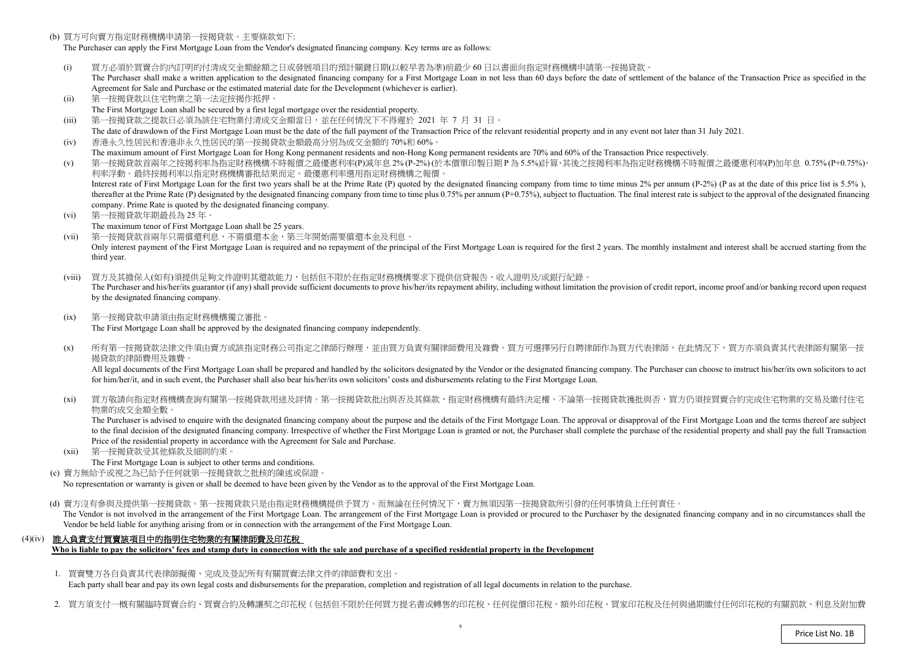(b) 買方可向賣方指定財務機構申請第一按揭貸款。主要條款如下:

The Purchaser can apply the First Mortgage Loan from the Vendor's designated financing company. Key terms are as follows:

- (i)) 買方必須於買賣合約內訂明的付清成交金額餘額之日或發展項目的預計關鍵日期(以較早者為準)前最少 60 日以書面向指定財務機構申請第一按揭貸款。<br>The Purchaser shall make a written application to the designated financing company for a First Mortgage Loan in not less than 60 days before the da The Purchaser shall make a written application to the designated financing company for a First Mortgage Loan in not less than 60 days before the date of settlement of the balance of the Transaction Price as specified in the Agreement for Sale and Purchase or the estimated material date for the Development (whichever is earlier).
- (ii)第一按揭貸款以住宅物業之第一法定按揭作抵押。
- The First Mortgage Loan shall be secured by a first legal mortgage over the residential property.
- (iii)第一按揭貸款之提款日必須為該住宅物業付清成交金額當日,並在任何情況下不得遲於 <sup>2021</sup> <sup>年</sup><sup>7</sup> <sup>月</sup> <sup>31</sup>日。
- The date of drawdown of the First Mortgage Loan must be the date of the full payment of the Transaction Price of the relevant residential property and in any event not later than 31 July 2021. (iv)香港永久性居民和香港非永久性居民的第一按揭貸款金額最高分別為成交金額的 70%<sup>和</sup> 60%。
- The maximum amount of First Mortgage Loan for Hong Kong permanent residents and non-Hong Kong permanent residents are 70% and 60% of the Transaction Price respectively.<br>第一位担合教会员每个投提现这些生产的规模建立的一具原子的一个 (v)
- ) 第一按揭貸款首兩年之按揭利率為指定財務機構不時報價之最優惠利率(P)減年息 2% (P-2%) (於本價單印製日期 P 為 5.5%)計算,其後之按揭利率為指定財務機構不時報價之最優惠利率(P)加年息 0.75% (P+0.75%),<br>利率浮動。 最终按規利率以指定財務機構案批結果而定。 景優東利率選用指定財務機構之報價。 利率浮動。最終按揭利率以指定財務機構審批結果而定。最優惠利率選用指定財務機構之報價。Interest rate of First Mortgage Loan for the first two years shall be at the Prime Rate (P) quoted by the designated financing company from time to time minus 2% per annum (P-2%) (P as at the date of this price list is 5.5 thereafter at the Prime Rate (P) designated by the designated financing company from time to time plus 0.75% per annum (P+0.75%), subject to fluctuation. The final interest rate is subject to the approval of the designated company. Prime Rate is quoted by the designated financing company.
- (vi) 第一按揭貸款年期最長為 <sup>25</sup> 年。
	- The maximum tenor of First Mortgage Loan shall be 25 years.
- (vii) 第一按揭貸款首兩年只需償還利息,不需償還本金,第三年開始需要償還本金及利息。Only interest payment of the First Mortgage Loan is required and no repayment of the principal of the First Mortgage Loan is required for the first 2 years. The monthly instalment and interest shall be accrued starting fro third year.
- (viii) 買方及其擔保人(如有)須提供足夠文件證明其還款能力,包括但不限於在指定財務機構要求下提供信貸報告、收入證明及/或銀行紀錄。The Purchaser and his/her/its guarantor (if any) shall provide sufficient documents to prove his/her/its repayment ability, including without limitation the provision of credit report, income proof and/or banking record up by the designated financing company.
- $(ix)$  第一按揭貸款申請須由指定財務機構獨立審批。The First Mortgage Loan shall be approved by the designated financing company independently.
- $(x)$ 所有第一按揭貸款法律文件須由賣方或該指定財務公司指定之律師行辦理,並由買方負責有關律師費用及雜費。買方可選擇另行自聘律師作為買方代表律師,在此情況下,買方亦須負責其代表律師有關第一按 揭貸款的律師費用及雜費。

All legal documents of the First Mortgage Loan shall be prepared and handled by the solicitors designated by the Vendor or the designated financing company. The Purchaser can choose to instruct his/her/its own solicitors t for him/her/it, and in such event, the Purchaser shall also bear his/her/its own solicitors' costs and disbursements relating to the First Mortgage Loan.

 $(x_i)$ 買方敬請向指定財務機構查詢有關第一按揭貸款用途及詳情。第一按揭貸款批出與否及其條款,指定財務機構有最終決定權。不論第一按揭貸款獲批與否,買方仍須按買賣合約完成住宅物業的交易及繳付住宅 物業的成交金額全數。

 $(xii)$  第一按揭貸款受其他條款及細則約束。The First Mortgage Loan is subject to other terms and conditions.

(d) 賣方沒有參與及提供第一按揭貸款。第一按揭貸款只是由指定財務機構提供予買方。而無論在任何情況下,賣方無須因第一按揭貸款所引發的任何事情負上任何責任。 The Vendor is not involved in the arrangement of the First Mortgage Loan. The arrangement of the First Mortgage Loan is provided or procured to the Purchaser by the designated financing company and in no circumstances shal Vendor be held liable for anything arising from or in connection with the arrangement of the First Mortgage Loan.

 The Purchaser is advised to enquire with the designated financing company about the purpose and the details of the First Mortgage Loan. The approval or disapproval of the First Mortgage Loan and the terms thereof are subject to the final decision of the designated financing company. Irrespective of whether the First Mortgage Loan is granted or not, the Purchaser shall complete the purchase of the residential property and shall pay the full Tra Price of the residential property in accordance with the Agreement for Sale and Purchase.

(c) 賣方無給予或視之為已給予任何就第一按揭貸款之批核的陳述或保證。

No representation or warranty is <sup>g</sup>iven or shall be deemed to have been given by the Vendor as to the approval of the First Mortgage Loan.

#### (4)(iv) 誰人負責支付買賣該項目中的指明住宅物業的有關律師費及印花稅

**Who is liable to pay the solicitors' fees and stamp duty in connection with the sale and purchase of a specified residential property in the Development** 

1. 買賣雙方各自負責其代表律師擬備、完成及登記所有有關買賣法律文件的律師費和支出。

Each party shall bear and pay its own legal costs and disbursements for the preparation, completion and registration of all legal documents in relation to the purchase.

2. 買方須支付一概有關臨時買賣合約、買賣合約及轉讓契之印花稅(包括但不限於任何買方提名書或轉售的印花稅、任何從價印花稅、額外印花稅、買家印花稅及任何與過期繳付任何印花稅的有關罰款、利息及附加費